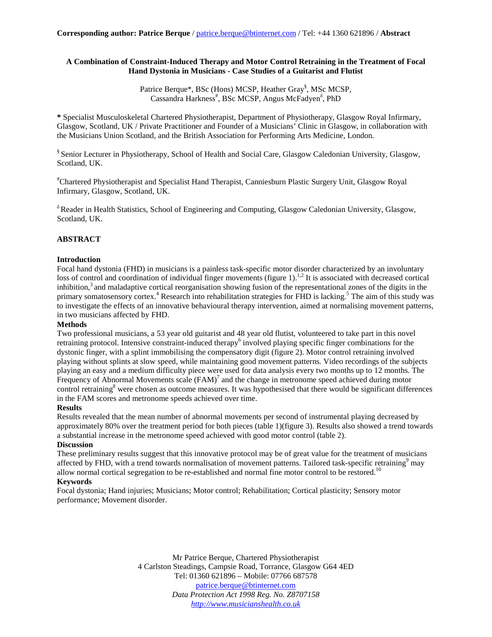## **A Combination of Constraint-Induced Therapy and Motor Control Retraining in the Treatment of Focal Hand Dystonia in Musicians - Case Studies of a Guitarist and Flutist**

Patrice Berque\*, BSc (Hons) MCSP, Heather Gray<sup>§</sup>, MSc MCSP, Cassandra Harkness<sup>#</sup>, BSc MCSP, Angus McFadyen<sup>8</sup>, PhD

**\*** Specialist Musculoskeletal Chartered Physiotherapist, Department of Physiotherapy, Glasgow Royal Infirmary, Glasgow, Scotland, UK / Private Practitioner and Founder of a Musicians' Clinic in Glasgow, in collaboration with the Musicians Union Scotland, and the British Association for Performing Arts Medicine, London.

§ Senior Lecturer in Physiotherapy, School of Health and Social Care, Glasgow Caledonian University, Glasgow, Scotland, UK.

# Chartered Physiotherapist and Specialist Hand Therapist, Canniesburn Plastic Surgery Unit, Glasgow Royal Infirmary, Glasgow, Scotland, UK.

 $\delta$  Reader in Health Statistics, School of Engineering and Computing, Glasgow Caledonian University, Glasgow, Scotland, UK.

# **ABSTRACT**

# **Introduction**

Focal hand dystonia (FHD) in musicians is a painless task-specific motor disorder characterized by an involuntary loss of control and coordination of individual finger movements (figure 1).<sup>1,2</sup> It is associated with decreased cortical inhibition,<sup>3</sup> and maladaptive cortical reorganisation showing fusion of the representational zones of the digits in the primary somatosensory cortex.<sup>4</sup> Research into rehabilitation strategies for FHD is lacking.<sup>5</sup> The aim of this study was to investigate the effects of an innovative behavioural therapy intervention, aimed at normalising movement patterns, in two musicians affected by FHD.

### **Methods**

Two professional musicians, a 53 year old guitarist and 48 year old flutist, volunteered to take part in this novel retraining protocol. Intensive constraint-induced therapy<sup>6</sup> involved playing specific finger combinations for the dystonic finger, with a splint immobilising the compensatory digit (figure 2). Motor control retraining involved playing without splints at slow speed, while maintaining good movement patterns. Video recordings of the subjects playing an easy and a medium difficulty piece were used for data analysis every two months up to 12 months. The Frequency of Abnormal Movements scale  $(FAM)^7$  and the change in metronome speed achieved during motor control retraining $8$  were chosen as outcome measures. It was hypothesised that there would be significant differences in the FAM scores and metronome speeds achieved over time.

### **Results**

Results revealed that the mean number of abnormal movements per second of instrumental playing decreased by approximately 80% over the treatment period for both pieces (table 1)(figure 3). Results also showed a trend towards a substantial increase in the metronome speed achieved with good motor control (table 2).

#### **Discussion**

These preliminary results suggest that this innovative protocol may be of great value for the treatment of musicians affected by FHD, with a trend towards normalisation of movement patterns. Tailored task-specific retraining $9 \text{ may}$ allow normal cortical segregation to be re-established and normal fine motor control to be restored.<sup>10</sup>

# **Keywords**

Focal dystonia; Hand injuries; Musicians; Motor control; Rehabilitation; Cortical plasticity; Sensory motor performance; Movement disorder.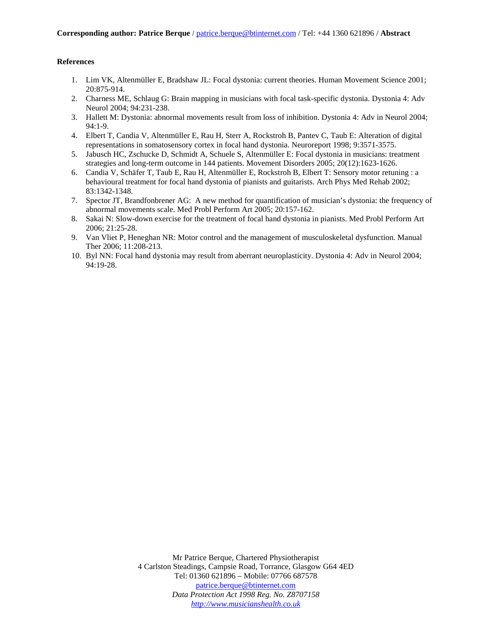# **References**

- 1. Lim VK, Altenmüller E, Bradshaw JL: Focal dystonia: current theories. Human Movement Science 2001; 20:875-914.
- 2. Charness ME, Schlaug G: Brain mapping in musicians with focal task-specific dystonia. Dystonia 4: Adv Neurol 2004; 94:231-238.
- 3. Hallett M: Dystonia: abnormal movements result from loss of inhibition. Dystonia 4: Adv in Neurol 2004; 94:1-9.
- 4. Elbert T, Candia V, Altenmüller E, Rau H, Sterr A, Rockstroh B, Pantev C, Taub E: Alteration of digital representations in somatosensory cortex in focal hand dystonia. Neuroreport 1998; 9:3571-3575.
- 5. Jabusch HC, Zschucke D, Schmidt A, Schuele S, Altenmüller E: Focal dystonia in musicians: treatment strategies and long-term outcome in 144 patients. Movement Disorders 2005; 20(12):1623-1626.
- 6. Candia V, Schäfer T, Taub E, Rau H, Altenmüller E, Rockstroh B, Elbert T: Sensory motor retuning : a behavioural treatment for focal hand dystonia of pianists and guitarists. Arch Phys Med Rehab 2002; 83:1342-1348.
- 7. Spector JT, Brandfonbrener AG: A new method for quantification of musician's dystonia: the frequency of abnormal movements scale. Med Probl Perform Art 2005; 20:157-162.
- 8. Sakai N: Slow-down exercise for the treatment of focal hand dystonia in pianists. Med Probl Perform Art 2006; 21:25-28.
- 9. Van Vliet P, Heneghan NR: Motor control and the management of musculoskeletal dysfunction. Manual Ther 2006; 11:208-213.
- 10. Byl NN: Focal hand dystonia may result from aberrant neuroplasticity. Dystonia 4: Adv in Neurol 2004; 94:19-28.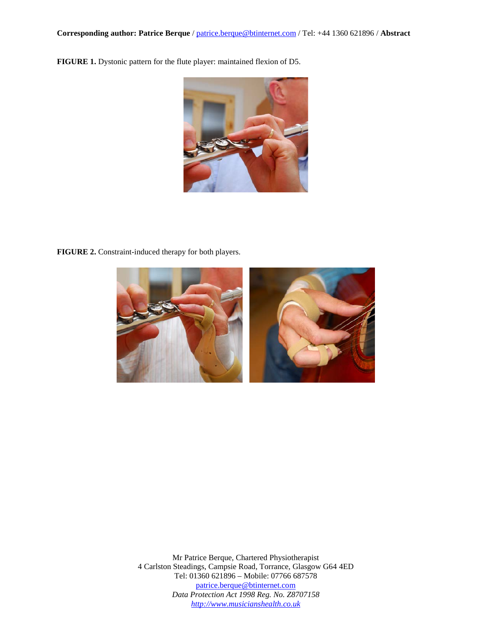**FIGURE 1.** Dystonic pattern for the flute player: maintained flexion of D5.



**FIGURE 2.** Constraint-induced therapy for both players.

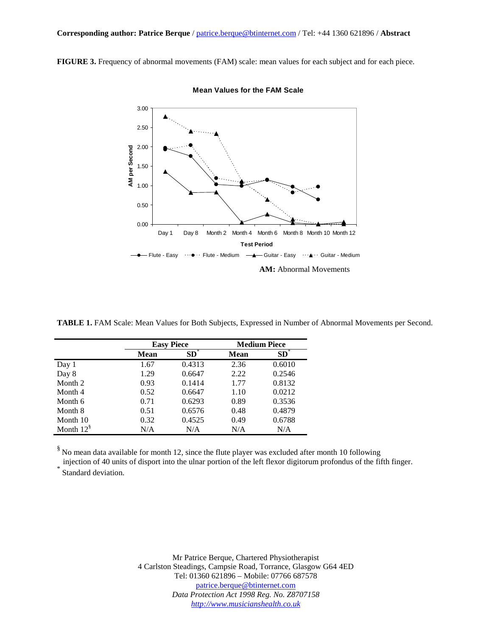**FIGURE 3.** Frequency of abnormal movements (FAM) scale: mean values for each subject and for each piece.



**Mean Values for the FAM Scale**

**TABLE 1.** FAM Scale: Mean Values for Both Subjects, Expressed in Number of Abnormal Movements per Second.

|                    | <b>Easy Piece</b> |              | <b>Medium Piece</b> |                 |
|--------------------|-------------------|--------------|---------------------|-----------------|
|                    | Mean              | $SD^{\circ}$ | <b>Mean</b>         | SD <sub>1</sub> |
| Day 1              | 1.67              | 0.4313       | 2.36                | 0.6010          |
| Day 8              | 1.29              | 0.6647       | 2.22                | 0.2546          |
| Month 2            | 0.93              | 0.1414       | 1.77                | 0.8132          |
| Month 4            | 0.52              | 0.6647       | 1.10                | 0.0212          |
| Month 6            | 0.71              | 0.6293       | 0.89                | 0.3536          |
| Month 8            | 0.51              | 0.6576       | 0.48                | 0.4879          |
| Month 10           | 0.32              | 0.4525       | 0.49                | 0.6788          |
| Month $12^{\circ}$ | N/A               | N/A          | N/A                 | N/A             |

§ No mean data available for month 12, since the flute player was excluded after month 10 following

injection of 40 units of disport into the ulnar portion of the left flexor digitorum profondus of the fifth finger.<br>Standard deviation.